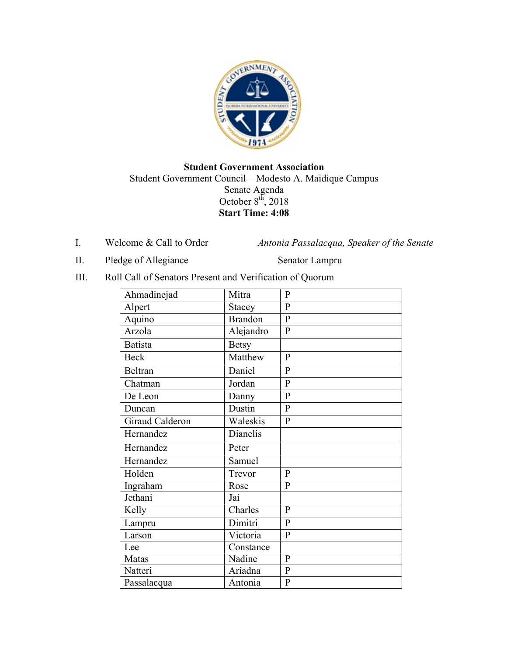

## **Student Government Association** Student Government Council—Modesto A. Maidique Campus Senate Agenda October  $8^{th}$ , 2018 **Start Time: 4:08**

I. Welcome & Call to Order *Antonia Passalacqua, Speaker of the Senate* 

II. Pledge of Allegiance Senator Lampru

III. Roll Call of Senators Present and Verification of Quorum

| Ahmadinejad     | Mitra          | $\mathbf{P}$   |
|-----------------|----------------|----------------|
| Alpert          | <b>Stacey</b>  | $\overline{P}$ |
| Aquino          | <b>Brandon</b> | $\overline{P}$ |
| Arzola          | Alejandro      | $\mathbf{P}$   |
| <b>Batista</b>  | <b>Betsy</b>   |                |
| <b>Beck</b>     | Matthew        | $\mathbf{P}$   |
| <b>Beltran</b>  | Daniel         | $\mathbf{P}$   |
| Chatman         | Jordan         | $\overline{P}$ |
| De Leon         | Danny          | $\overline{P}$ |
| Duncan          | Dustin         | $\overline{P}$ |
| Giraud Calderon | Waleskis       | $\mathbf{P}$   |
| Hernandez       | Dianelis       |                |
| Hernandez       | Peter          |                |
| Hernandez       | Samuel         |                |
| Holden          | Trevor         | $\mathbf{P}$   |
| Ingraham        | Rose           | $\overline{P}$ |
| Jethani         | Jai            |                |
| Kelly           | Charles        | $\mathbf{P}$   |
| Lampru          | Dimitri        | $\mathbf{P}$   |
| Larson          | Victoria       | $\mathbf{P}$   |
| Lee             | Constance      |                |
| Matas           | Nadine         | $\mathbf{P}$   |
| Natteri         | Ariadna        | $\mathbf{P}$   |
| Passalacqua     | Antonia        | $\mathbf{P}$   |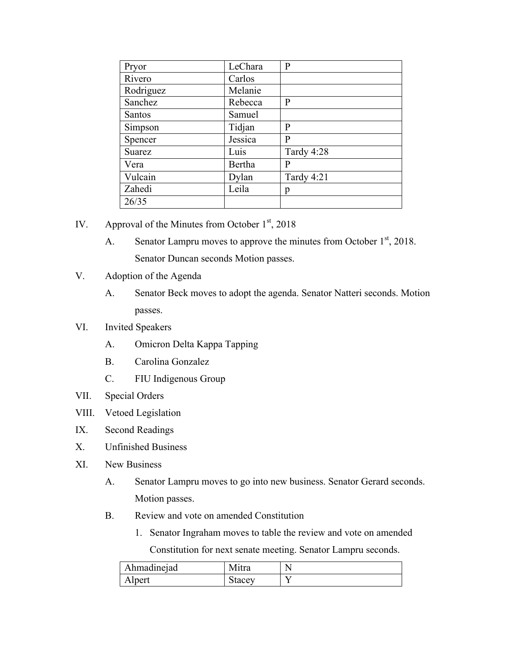| Pryor     | LeChara | P          |
|-----------|---------|------------|
| Rivero    | Carlos  |            |
| Rodriguez | Melanie |            |
| Sanchez   | Rebecca | P          |
| Santos    | Samuel  |            |
| Simpson   | Tidjan  | P          |
| Spencer   | Jessica | P          |
| Suarez    | Luis    | Tardy 4:28 |
| Vera      | Bertha  | P          |
| Vulcain   | Dylan   | Tardy 4:21 |
| Zahedi    | Leila   | p          |
| 26/35     |         |            |

- IV. Approval of the Minutes from October  $1<sup>st</sup>$ , 2018
	- A. Senator Lampru moves to approve the minutes from October  $1<sup>st</sup>$ , 2018. Senator Duncan seconds Motion passes.
- V. Adoption of the Agenda
	- A. Senator Beck moves to adopt the agenda. Senator Natteri seconds. Motion passes.
- VI. Invited Speakers
	- A. Omicron Delta Kappa Tapping
	- B. Carolina Gonzalez
	- C. FIU Indigenous Group
- VII. Special Orders
- VIII. Vetoed Legislation
- IX. Second Readings
- X. Unfinished Business
- XI. New Business
	- A. Senator Lampru moves to go into new business. Senator Gerard seconds. Motion passes.
	- B. Review and vote on amended Constitution
		- 1. Senator Ingraham moves to table the review and vote on amended

Constitution for next senate meeting. Senator Lampru seconds.

| Ahmadinejad | Mitra  | N |
|-------------|--------|---|
| Alpert      | stacev |   |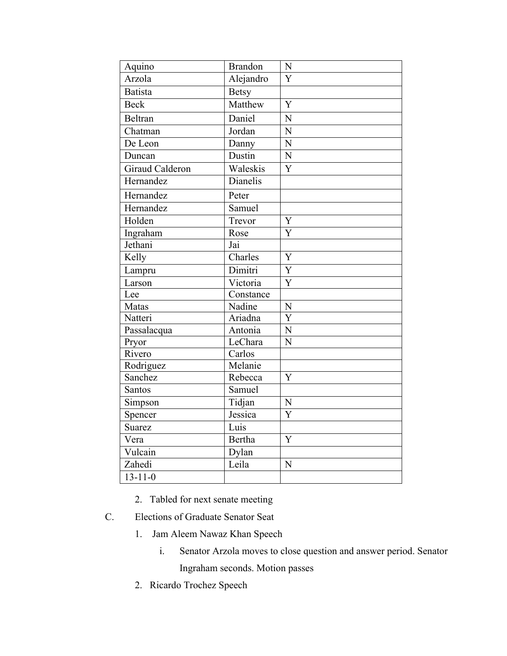| Aquino                 | <b>Brandon</b> | N              |
|------------------------|----------------|----------------|
| Arzola                 | Alejandro      | $\overline{Y}$ |
| <b>Batista</b>         | <b>Betsy</b>   |                |
| <b>Beck</b>            | Matthew        | $\overline{Y}$ |
| Beltran                | Daniel         | N              |
| Chatman                | Jordan         | N              |
| De Leon                | Danny          | N              |
| Duncan                 | Dustin         | $\overline{N}$ |
| <b>Giraud Calderon</b> | Waleskis       | Y              |
| Hernandez              | Dianelis       |                |
| Hernandez              | Peter          |                |
| Hernandez              | Samuel         |                |
| Holden                 | Trevor         | Y              |
| Ingraham               | Rose           | Y              |
| Jethani                | Jai            |                |
| Kelly                  | Charles        | Y              |
| Lampru                 | Dimitri        | $\overline{Y}$ |
| Larson                 | Victoria       | Y              |
| Lee                    | Constance      |                |
| Matas                  | Nadine         | $\mathbf N$    |
| Natteri                | Ariadna        | $\overline{Y}$ |
| Passalacqua            | Antonia        | N              |
| Pryor                  | LeChara        | $\overline{N}$ |
| Rivero                 | Carlos         |                |
| Rodriguez              | Melanie        |                |
| Sanchez                | Rebecca        | Y              |
| Santos                 | Samuel         |                |
| Simpson                | Tidjan         | ${\bf N}$      |
| Spencer                | Jessica        | Y              |
| Suarez                 | Luis           |                |
| Vera                   | Bertha         | Y              |
| Vulcain                | Dylan          |                |
| Zahedi                 | Leila          | N              |
| $13 - 11 - 0$          |                |                |

- 2. Tabled for next senate meeting
- C. Elections of Graduate Senator Seat
	- 1. Jam Aleem Nawaz Khan Speech
		- i. Senator Arzola moves to close question and answer period. Senator Ingraham seconds. Motion passes
	- 2. Ricardo Trochez Speech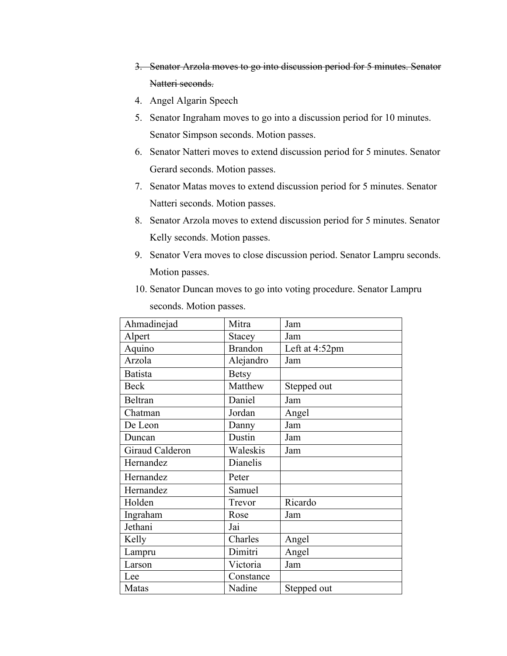- 3. Senator Arzola moves to go into discussion period for 5 minutes. Senator Natteri seconds.
- 4. Angel Algarin Speech
- 5. Senator Ingraham moves to go into a discussion period for 10 minutes. Senator Simpson seconds. Motion passes.
- 6. Senator Natteri moves to extend discussion period for 5 minutes. Senator Gerard seconds. Motion passes.
- 7. Senator Matas moves to extend discussion period for 5 minutes. Senator Natteri seconds. Motion passes.
- 8. Senator Arzola moves to extend discussion period for 5 minutes. Senator Kelly seconds. Motion passes.
- 9. Senator Vera moves to close discussion period. Senator Lampru seconds. Motion passes.
- 10. Senator Duncan moves to go into voting procedure. Senator Lampru seconds. Motion passes.

| Ahmadinejad     | Mitra          | Jam            |
|-----------------|----------------|----------------|
| Alpert          | Stacey         | Jam            |
| Aquino          | <b>Brandon</b> | Left at 4:52pm |
| Arzola          | Alejandro      | Jam            |
| <b>Batista</b>  | <b>Betsy</b>   |                |
| <b>Beck</b>     | Matthew        | Stepped out    |
| <b>Beltran</b>  | Daniel         | Jam            |
| Chatman         | Jordan         | Angel          |
| De Leon         | Danny          | Jam            |
| Duncan          | Dustin         | Jam            |
| Giraud Calderon | Waleskis       | Jam            |
| Hernandez       | Dianelis       |                |
| Hernandez       | Peter          |                |
| Hernandez       | Samuel         |                |
| Holden          | Trevor         | Ricardo        |
| Ingraham        | Rose           | Jam            |
| Jethani         | Jai            |                |
| Kelly           | Charles        | Angel          |
| Lampru          | Dimitri        | Angel          |
| Larson          | Victoria       | Jam            |
| Lee             | Constance      |                |
| Matas           | Nadine         | Stepped out    |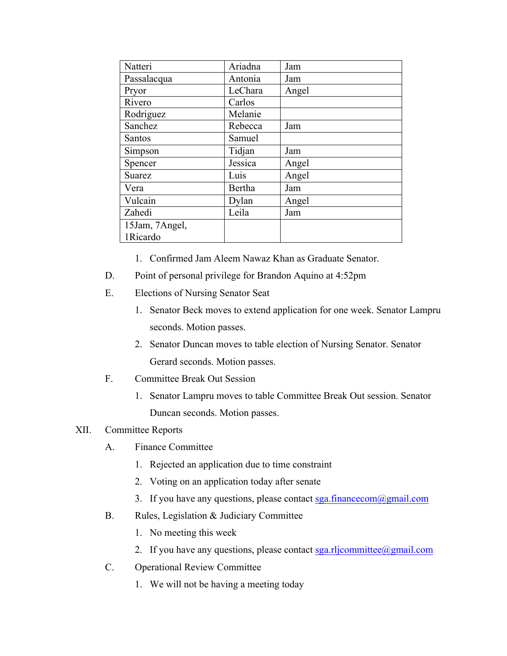| Natteri        | Ariadna | Jam   |
|----------------|---------|-------|
| Passalacqua    | Antonia | Jam   |
| Pryor          | LeChara | Angel |
| Rivero         | Carlos  |       |
| Rodriguez      | Melanie |       |
| Sanchez        | Rebecca | Jam   |
| Santos         | Samuel  |       |
| Simpson        | Tidjan  | Jam   |
| Spencer        | Jessica | Angel |
| Suarez         | Luis    | Angel |
| Vera           | Bertha  | Jam   |
| Vulcain        | Dylan   | Angel |
| Zahedi         | Leila   | Jam   |
| 15Jam, 7Angel, |         |       |
| 1Ricardo       |         |       |

- 1. Confirmed Jam Aleem Nawaz Khan as Graduate Senator.
- D. Point of personal privilege for Brandon Aquino at 4:52pm
- E. Elections of Nursing Senator Seat
	- 1. Senator Beck moves to extend application for one week. Senator Lampru seconds. Motion passes.
	- 2. Senator Duncan moves to table election of Nursing Senator. Senator Gerard seconds. Motion passes.
- F. Committee Break Out Session
	- 1. Senator Lampru moves to table Committee Break Out session. Senator Duncan seconds. Motion passes.

## XII. Committee Reports

- A. Finance Committee
	- 1. Rejected an application due to time constraint
	- 2. Voting on an application today after senate
	- 3. If you have any questions, please contact sga.financecom@gmail.com
- B. Rules, Legislation & Judiciary Committee
	- 1. No meeting this week
	- 2. If you have any questions, please contact  $sga.rli committe@gmail.com$
- C. Operational Review Committee
	- 1. We will not be having a meeting today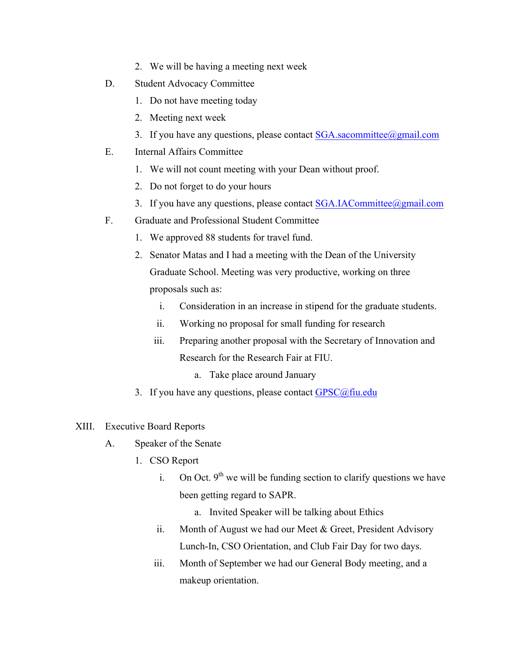- 2. We will be having a meeting next week
- D. Student Advocacy Committee
	- 1. Do not have meeting today
	- 2. Meeting next week
	- 3. If you have any questions, please contact  $SGA$ .sacommittee@gmail.com
- E. Internal Affairs Committee
	- 1. We will not count meeting with your Dean without proof.
	- 2. Do not forget to do your hours
	- 3. If you have any questions, please contact SGA.IACommittee@gmail.com
- F. Graduate and Professional Student Committee
	- 1. We approved 88 students for travel fund.
	- 2. Senator Matas and I had a meeting with the Dean of the University Graduate School. Meeting was very productive, working on three proposals such as:
		- i. Consideration in an increase in stipend for the graduate students.
		- ii. Working no proposal for small funding for research
		- iii. Preparing another proposal with the Secretary of Innovation and Research for the Research Fair at FIU.
			- a. Take place around January
	- 3. If you have any questions, please contact  $GPSC@$ fiu.edu
- XIII. Executive Board Reports
	- A. Speaker of the Senate
		- 1. CSO Report
			- i. On Oct.  $9^{th}$  we will be funding section to clarify questions we have been getting regard to SAPR.
				- a. Invited Speaker will be talking about Ethics
			- ii. Month of August we had our Meet  $&$  Greet, President Advisory Lunch-In, CSO Orientation, and Club Fair Day for two days.
			- iii. Month of September we had our General Body meeting, and a makeup orientation.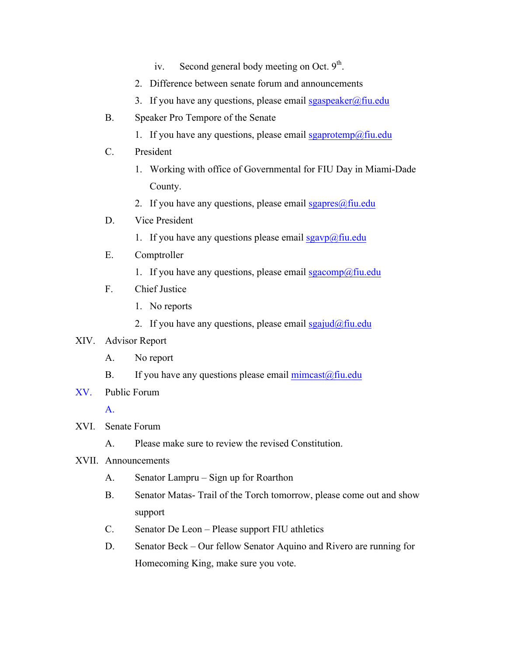- iv. Second general body meeting on Oct.  $9<sup>th</sup>$ .
- 2. Difference between senate forum and announcements
- 3. If you have any questions, please email sgaspeaker@fiu.edu
- B. Speaker Pro Tempore of the Senate
	- 1. If you have any questions, please email sgaprotemp@fiu.edu
- C. President
	- 1. Working with office of Governmental for FIU Day in Miami-Dade County.
	- 2. If you have any questions, please email sgapres $@$ fiu.edu
- D. Vice President
	- 1. If you have any questions please email  $sgavp(\omega)$ fiu.edu
- E. Comptroller
	- 1. If you have any questions, please email sgacomp@fiu.edu
- F. Chief Justice
	- 1. No reports
	- 2. If you have any questions, please email sgajud@fiu.edu

## XIV. Advisor Report

- A. No report
- B. If you have any questions please email  $\text{mincast}(\hat{\omega})$  fiu.edu
- XV. Public Forum

A.

- XVI. Senate Forum
	- A. Please make sure to review the revised Constitution.
- XVII. Announcements
	- A. Senator Lampru Sign up for Roarthon
	- B. Senator Matas- Trail of the Torch tomorrow, please come out and show support
	- C. Senator De Leon Please support FIU athletics
	- D. Senator Beck Our fellow Senator Aquino and Rivero are running for Homecoming King, make sure you vote.